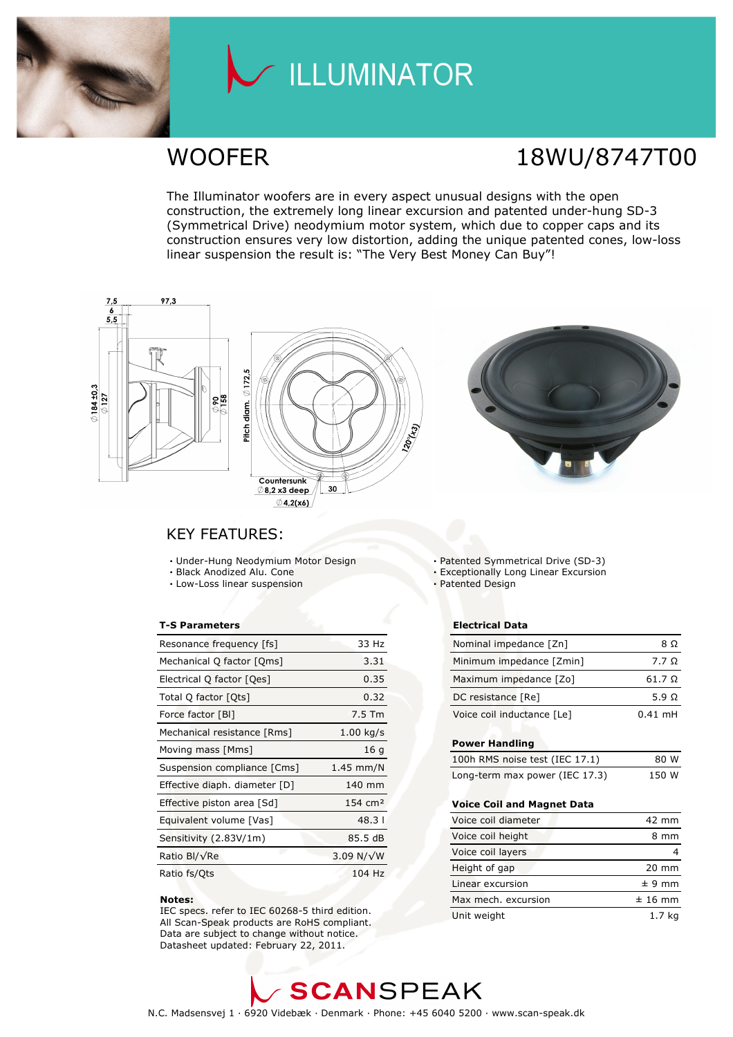

## LLUMINATOR

## WOOFER 18WU/8747T00

The Illuminator woofers are in every aspect unusual designs with the open construction, the extremely long linear excursion and patented under-hung SD-3 (Symmetrical Drive) neodymium motor system, which due to copper caps and its construction ensures very low distortion, adding the unique patented cones, low-loss linear suspension the result is: "The Very Best Money Can Buy"!







### KEY FEATURES:

- Under-Hung Neodymium Motor Design
- Black Anodized Alu. Cone
- Low-Loss linear suspension

#### T-S Parameters

| Resonance frequency [fs]      | 33 Hz              |
|-------------------------------|--------------------|
| Mechanical Q factor [Qms]     | 3.31               |
| Electrical Q factor [Qes]     | 0.35               |
| Total Q factor [Ots]          | 0.32               |
| Force factor [BI]             | $7.5$ Tm           |
| Mechanical resistance [Rms]   | $1.00$ kg/s        |
| Moving mass [Mms]             | 16q                |
| Suspension compliance [Cms]   | $1.45$ mm/N        |
| Effective diaph. diameter [D] | 140 mm             |
| Effective piston area [Sd]    | $154 \text{ cm}^2$ |
| Equivalent volume [Vas]       | $48.3$             |
| Sensitivity (2.83V/1m)        | 85.5 dB            |
| Ratio Bl/√Re                  | 3.09 N/ $\sqrt{W}$ |
| Ratio fs/Qts                  | 104 Hz             |

#### Notes:

 IEC specs. refer to IEC 60268-5 third edition. All Scan-Speak products are RoHS compliant. Data are subject to change without notice. Datasheet updated: February 22, 2011.

Patented Symmetrical Drive (SD-3)

- Exceptionally Long Linear Excursion
- Patented Design

#### Electrical Data

| Nominal impedance [Zn]     | 8 O           |
|----------------------------|---------------|
| Minimum impedance [Zmin]   | 7.7 $\Omega$  |
| Maximum impedance [Zo]     | $61.7 \Omega$ |
| DC resistance [Re]         | 5.9 $\Omega$  |
| Voice coil inductance [Le] | $0.41$ mH     |

#### Power Handling

| 100h RMS noise test (IEC 17.1) | 80 W  |
|--------------------------------|-------|
| Long-term max power (IEC 17.3) | 150 W |

#### Voice Coil and Magnet Data

| Voice coil diameter | 42 mm           |
|---------------------|-----------------|
| Voice coil height   | mm              |
| Voice coil layers   |                 |
| Height of gap       | $20 \text{ mm}$ |
| Linear excursion    | $± 9$ mm        |
| Max mech, excursion | $±$ 16 mm       |
| Unit weight         | 1.7 kg          |